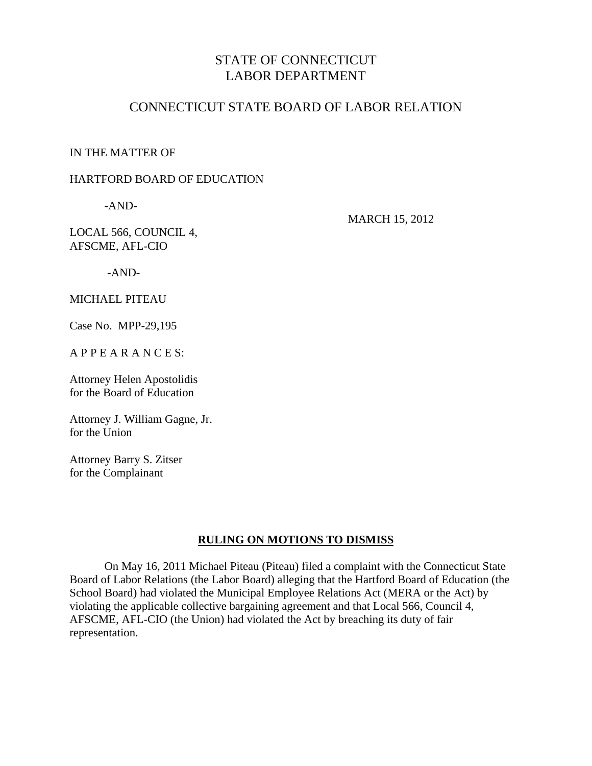# STATE OF CONNECTICUT LABOR DEPARTMENT

## CONNECTICUT STATE BOARD OF LABOR RELATION

IN THE MATTER OF

#### HARTFORD BOARD OF EDUCATION

-AND-

MARCH 15, 2012

LOCAL 566, COUNCIL 4, AFSCME, AFL-CIO

-AND-

MICHAEL PITEAU

Case No. MPP-29,195

A P P E A R A N C E S:

Attorney Helen Apostolidis for the Board of Education

Attorney J. William Gagne, Jr. for the Union

Attorney Barry S. Zitser for the Complainant

### **RULING ON MOTIONS TO DISMISS**

 On May 16, 2011 Michael Piteau (Piteau) filed a complaint with the Connecticut State Board of Labor Relations (the Labor Board) alleging that the Hartford Board of Education (the School Board) had violated the Municipal Employee Relations Act (MERA or the Act) by violating the applicable collective bargaining agreement and that Local 566, Council 4, AFSCME, AFL-CIO (the Union) had violated the Act by breaching its duty of fair representation.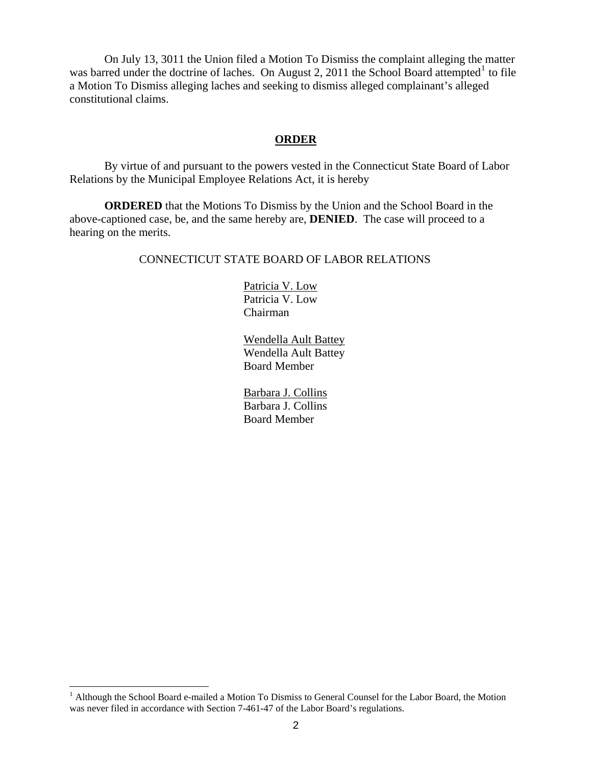On July 13, 3011 the Union filed a Motion To Dismiss the complaint alleging the matter was barred under the doctrine of laches. On August 2, 20[1](#page-1-0)1 the School Board attempted<sup>1</sup> to file a Motion To Dismiss alleging laches and seeking to dismiss alleged complainant's alleged constitutional claims.

#### **ORDER**

 By virtue of and pursuant to the powers vested in the Connecticut State Board of Labor Relations by the Municipal Employee Relations Act, it is hereby

**ORDERED** that the Motions To Dismiss by the Union and the School Board in the above-captioned case, be, and the same hereby are, **DENIED**.The case will proceed to a hearing on the merits.

#### CONNECTICUT STATE BOARD OF LABOR RELATIONS

 Patricia V. Low Patricia V. Low Chairman

 Wendella Ault Battey Wendella Ault Battey Board Member

 Barbara J. Collins Barbara J. Collins Board Member

<span id="page-1-0"></span><sup>&</sup>lt;sup>1</sup> Although the School Board e-mailed a Motion To Dismiss to General Counsel for the Labor Board, the Motion was never filed in accordance with Section 7-461-47 of the Labor Board's regulations.